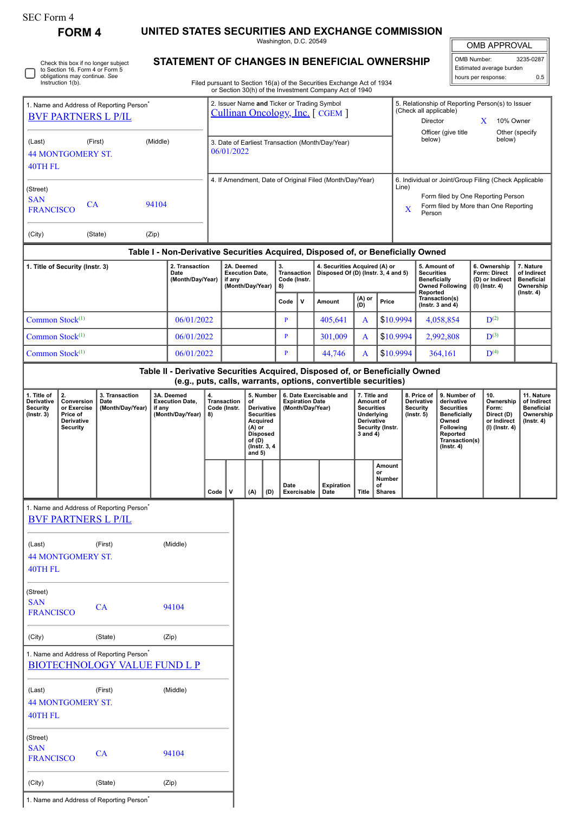| SEC Form 4 |  |
|------------|--|
|------------|--|

∩

Check this box if no longer subject to Section 16. Form 4 or Form 5 obligations may continue. *See* Instruction 1(b).

**FORM 4 UNITED STATES SECURITIES AND EXCHANGE COMMISSION**

Washington, D.C. 20549 **STATEMENT OF CHANGES IN BENEFICIAL OWNERSHIP**

|  | <b>OMB APPROVAL</b> |
|--|---------------------|
|  |                     |

OMB Number: 3235-0287 Estimated average burden hours per response: 0.5

| Filed pursuant to Section 16(a) of the Securities Exchange Act of 1934 |
|------------------------------------------------------------------------|
| or Section 30(h) of the Investment Company Act of 1940                 |

| Officer (give title<br>below)<br>(Last)<br>(First)<br>(Middle)<br>3. Date of Earliest Transaction (Month/Day/Year)<br>06/01/2022<br><b>44 MONTGOMERY ST.</b><br>40TH FL<br>4. If Amendment, Date of Original Filed (Month/Day/Year)<br>6. Individual or Joint/Group Filing (Check Applicable<br>Line)<br>(Street)<br>Form filed by One Reporting Person<br><b>SAN</b><br>CA<br>94104<br>Form filed by More than One Reporting<br><b>FRANCISCO</b><br>X<br>Person<br>(City)<br>(Zip)<br>(State)<br>Table I - Non-Derivative Securities Acquired, Disposed of, or Beneficially Owned<br>2. Transaction<br>2A. Deemed<br>4. Securities Acquired (A) or<br>1. Title of Security (Instr. 3)<br>3.<br>5. Amount of<br>6. Ownership<br><b>Execution Date,</b><br>Transaction<br>Disposed Of (D) (Instr. 3, 4 and 5)<br>Form: Direct<br>Date<br><b>Securities</b><br>(Month/Day/Year)<br>Code (Instr.<br><b>Beneficially</b><br>(D) or Indirect<br>if any<br><b>Owned Following</b><br>(Month/Day/Year)<br>$(I)$ (Instr. 4)<br>8)<br>Reported<br>Transaction(s)<br>(A) or<br>(D)<br>$\mathsf{v}$<br>Code<br>Amount<br>Price<br>(Instr. $3$ and $4$ )<br>Common Stock <sup>(1)</sup><br>06/01/2022<br>\$10.9994<br>405,641<br>4,058,854<br>$\mathbf{D}^{(2)}$<br>$\, {\bf p}$<br>A<br>Common Stock <sup>(1)</sup><br>\$10.9994<br>$D^{(3)}$<br>06/01/2022<br>301,009<br>2,992,808<br>$\mathbf{P}$<br>$\mathbf{A}$<br>Common Stock <sup>(1)</sup><br>06/01/2022<br>$\, {\bf p}$<br>44,746<br>\$10,9994<br>$\mathbf{D}^{(4)}$<br>364,161<br>A<br>Table II - Derivative Securities Acquired, Disposed of, or Beneficially Owned<br>(e.g., puts, calls, warrants, options, convertible securities)<br>2.<br>1. Title of<br>6. Date Exercisable and<br>8. Price of<br>3. Transaction<br>3A. Deemed<br>4.<br>5. Number<br>7. Title and<br>9. Number of<br>10.<br>Derivative<br>Conversion<br><b>Execution Date,</b><br><b>Transaction</b><br>of<br><b>Expiration Date</b><br>Amount of<br>Derivative<br>derivative<br>Date<br><b>Securities</b><br>or Exercise<br>(Month/Day/Year)<br>Code (Instr.<br>Derivative<br>(Month/Day/Year)<br><b>Securities</b><br><b>Security</b><br>Form:<br>Security<br>if any<br><b>Securities</b><br>(Instr. 3)<br>Price of<br>(Month/Day/Year)<br>Underlying<br>$($ Instr. 5 $)$<br><b>Beneficially</b><br>Direct (D)<br>8)<br><b>Derivative</b><br>Owned<br>Derivative<br>Acquired<br>Following<br><b>Security</b><br>(A) or<br>Security (Instr.<br>Reported<br><b>Disposed</b><br>3 and 4)<br>Transaction(s)<br>of (D) | 10% Owner                                                                                                               |
|-------------------------------------------------------------------------------------------------------------------------------------------------------------------------------------------------------------------------------------------------------------------------------------------------------------------------------------------------------------------------------------------------------------------------------------------------------------------------------------------------------------------------------------------------------------------------------------------------------------------------------------------------------------------------------------------------------------------------------------------------------------------------------------------------------------------------------------------------------------------------------------------------------------------------------------------------------------------------------------------------------------------------------------------------------------------------------------------------------------------------------------------------------------------------------------------------------------------------------------------------------------------------------------------------------------------------------------------------------------------------------------------------------------------------------------------------------------------------------------------------------------------------------------------------------------------------------------------------------------------------------------------------------------------------------------------------------------------------------------------------------------------------------------------------------------------------------------------------------------------------------------------------------------------------------------------------------------------------------------------------------------------------------------------------------------------------------------------------------------------------------------------------------------------------------------------------------------------------------------------------------------------------------------------------------------------------------------------------------------------------------------------------------------------------------------------------------------------------------------------------------------------------------------------|-------------------------------------------------------------------------------------------------------------------------|
|                                                                                                                                                                                                                                                                                                                                                                                                                                                                                                                                                                                                                                                                                                                                                                                                                                                                                                                                                                                                                                                                                                                                                                                                                                                                                                                                                                                                                                                                                                                                                                                                                                                                                                                                                                                                                                                                                                                                                                                                                                                                                                                                                                                                                                                                                                                                                                                                                                                                                                                                           | Other (specify<br>below)                                                                                                |
|                                                                                                                                                                                                                                                                                                                                                                                                                                                                                                                                                                                                                                                                                                                                                                                                                                                                                                                                                                                                                                                                                                                                                                                                                                                                                                                                                                                                                                                                                                                                                                                                                                                                                                                                                                                                                                                                                                                                                                                                                                                                                                                                                                                                                                                                                                                                                                                                                                                                                                                                           |                                                                                                                         |
|                                                                                                                                                                                                                                                                                                                                                                                                                                                                                                                                                                                                                                                                                                                                                                                                                                                                                                                                                                                                                                                                                                                                                                                                                                                                                                                                                                                                                                                                                                                                                                                                                                                                                                                                                                                                                                                                                                                                                                                                                                                                                                                                                                                                                                                                                                                                                                                                                                                                                                                                           |                                                                                                                         |
|                                                                                                                                                                                                                                                                                                                                                                                                                                                                                                                                                                                                                                                                                                                                                                                                                                                                                                                                                                                                                                                                                                                                                                                                                                                                                                                                                                                                                                                                                                                                                                                                                                                                                                                                                                                                                                                                                                                                                                                                                                                                                                                                                                                                                                                                                                                                                                                                                                                                                                                                           |                                                                                                                         |
|                                                                                                                                                                                                                                                                                                                                                                                                                                                                                                                                                                                                                                                                                                                                                                                                                                                                                                                                                                                                                                                                                                                                                                                                                                                                                                                                                                                                                                                                                                                                                                                                                                                                                                                                                                                                                                                                                                                                                                                                                                                                                                                                                                                                                                                                                                                                                                                                                                                                                                                                           |                                                                                                                         |
|                                                                                                                                                                                                                                                                                                                                                                                                                                                                                                                                                                                                                                                                                                                                                                                                                                                                                                                                                                                                                                                                                                                                                                                                                                                                                                                                                                                                                                                                                                                                                                                                                                                                                                                                                                                                                                                                                                                                                                                                                                                                                                                                                                                                                                                                                                                                                                                                                                                                                                                                           | 7. Nature<br>of Indirect<br><b>Beneficial</b><br>Ownership<br>$($ Instr. 4 $)$                                          |
|                                                                                                                                                                                                                                                                                                                                                                                                                                                                                                                                                                                                                                                                                                                                                                                                                                                                                                                                                                                                                                                                                                                                                                                                                                                                                                                                                                                                                                                                                                                                                                                                                                                                                                                                                                                                                                                                                                                                                                                                                                                                                                                                                                                                                                                                                                                                                                                                                                                                                                                                           |                                                                                                                         |
|                                                                                                                                                                                                                                                                                                                                                                                                                                                                                                                                                                                                                                                                                                                                                                                                                                                                                                                                                                                                                                                                                                                                                                                                                                                                                                                                                                                                                                                                                                                                                                                                                                                                                                                                                                                                                                                                                                                                                                                                                                                                                                                                                                                                                                                                                                                                                                                                                                                                                                                                           |                                                                                                                         |
|                                                                                                                                                                                                                                                                                                                                                                                                                                                                                                                                                                                                                                                                                                                                                                                                                                                                                                                                                                                                                                                                                                                                                                                                                                                                                                                                                                                                                                                                                                                                                                                                                                                                                                                                                                                                                                                                                                                                                                                                                                                                                                                                                                                                                                                                                                                                                                                                                                                                                                                                           |                                                                                                                         |
|                                                                                                                                                                                                                                                                                                                                                                                                                                                                                                                                                                                                                                                                                                                                                                                                                                                                                                                                                                                                                                                                                                                                                                                                                                                                                                                                                                                                                                                                                                                                                                                                                                                                                                                                                                                                                                                                                                                                                                                                                                                                                                                                                                                                                                                                                                                                                                                                                                                                                                                                           |                                                                                                                         |
|                                                                                                                                                                                                                                                                                                                                                                                                                                                                                                                                                                                                                                                                                                                                                                                                                                                                                                                                                                                                                                                                                                                                                                                                                                                                                                                                                                                                                                                                                                                                                                                                                                                                                                                                                                                                                                                                                                                                                                                                                                                                                                                                                                                                                                                                                                                                                                                                                                                                                                                                           |                                                                                                                         |
| (Instr. 3, 4)<br>$($ Instr. 4 $)$<br>and $5)$                                                                                                                                                                                                                                                                                                                                                                                                                                                                                                                                                                                                                                                                                                                                                                                                                                                                                                                                                                                                                                                                                                                                                                                                                                                                                                                                                                                                                                                                                                                                                                                                                                                                                                                                                                                                                                                                                                                                                                                                                                                                                                                                                                                                                                                                                                                                                                                                                                                                                             | 11. Nature<br>Ownership<br>of Indirect<br><b>Beneficial</b><br>Ownership<br>or Indirect<br>(Instr. 4)<br>(I) (Instr. 4) |
| Amount<br>or<br>Number<br>Date<br><b>Expiration</b><br>of<br>v<br>Date<br>Code<br>(A)<br>(D)<br>Exercisable<br>Title<br><b>Shares</b>                                                                                                                                                                                                                                                                                                                                                                                                                                                                                                                                                                                                                                                                                                                                                                                                                                                                                                                                                                                                                                                                                                                                                                                                                                                                                                                                                                                                                                                                                                                                                                                                                                                                                                                                                                                                                                                                                                                                                                                                                                                                                                                                                                                                                                                                                                                                                                                                     |                                                                                                                         |
| 1. Name and Address of Reporting Person<br><b>BVF PARTNERS L P/IL</b>                                                                                                                                                                                                                                                                                                                                                                                                                                                                                                                                                                                                                                                                                                                                                                                                                                                                                                                                                                                                                                                                                                                                                                                                                                                                                                                                                                                                                                                                                                                                                                                                                                                                                                                                                                                                                                                                                                                                                                                                                                                                                                                                                                                                                                                                                                                                                                                                                                                                     |                                                                                                                         |
| (Middle)<br>(First)<br>(Last)<br><b>44 MONTGOMERY ST.</b><br>40TH FL                                                                                                                                                                                                                                                                                                                                                                                                                                                                                                                                                                                                                                                                                                                                                                                                                                                                                                                                                                                                                                                                                                                                                                                                                                                                                                                                                                                                                                                                                                                                                                                                                                                                                                                                                                                                                                                                                                                                                                                                                                                                                                                                                                                                                                                                                                                                                                                                                                                                      |                                                                                                                         |
| (Street)<br><b>SAN</b><br>CA<br>94104<br><b>FRANCISCO</b>                                                                                                                                                                                                                                                                                                                                                                                                                                                                                                                                                                                                                                                                                                                                                                                                                                                                                                                                                                                                                                                                                                                                                                                                                                                                                                                                                                                                                                                                                                                                                                                                                                                                                                                                                                                                                                                                                                                                                                                                                                                                                                                                                                                                                                                                                                                                                                                                                                                                                 |                                                                                                                         |
| (Zip)<br>(City)<br>(State)                                                                                                                                                                                                                                                                                                                                                                                                                                                                                                                                                                                                                                                                                                                                                                                                                                                                                                                                                                                                                                                                                                                                                                                                                                                                                                                                                                                                                                                                                                                                                                                                                                                                                                                                                                                                                                                                                                                                                                                                                                                                                                                                                                                                                                                                                                                                                                                                                                                                                                                |                                                                                                                         |
| 1. Name and Address of Reporting Person <sup>*</sup><br><b>BIOTECHNOLOGY VALUE FUND L P</b>                                                                                                                                                                                                                                                                                                                                                                                                                                                                                                                                                                                                                                                                                                                                                                                                                                                                                                                                                                                                                                                                                                                                                                                                                                                                                                                                                                                                                                                                                                                                                                                                                                                                                                                                                                                                                                                                                                                                                                                                                                                                                                                                                                                                                                                                                                                                                                                                                                               |                                                                                                                         |
| (Middle)<br>(Last)<br>(First)<br><b>44 MONTGOMERY ST.</b><br><b>40TH FL</b>                                                                                                                                                                                                                                                                                                                                                                                                                                                                                                                                                                                                                                                                                                                                                                                                                                                                                                                                                                                                                                                                                                                                                                                                                                                                                                                                                                                                                                                                                                                                                                                                                                                                                                                                                                                                                                                                                                                                                                                                                                                                                                                                                                                                                                                                                                                                                                                                                                                               |                                                                                                                         |
| (Street)<br><b>SAN</b><br>94104<br>CA<br><b>FRANCISCO</b><br>(State)<br>(Zip)<br>(City)                                                                                                                                                                                                                                                                                                                                                                                                                                                                                                                                                                                                                                                                                                                                                                                                                                                                                                                                                                                                                                                                                                                                                                                                                                                                                                                                                                                                                                                                                                                                                                                                                                                                                                                                                                                                                                                                                                                                                                                                                                                                                                                                                                                                                                                                                                                                                                                                                                                   |                                                                                                                         |

1. Name and Address of Reporting Person<sup>\*</sup>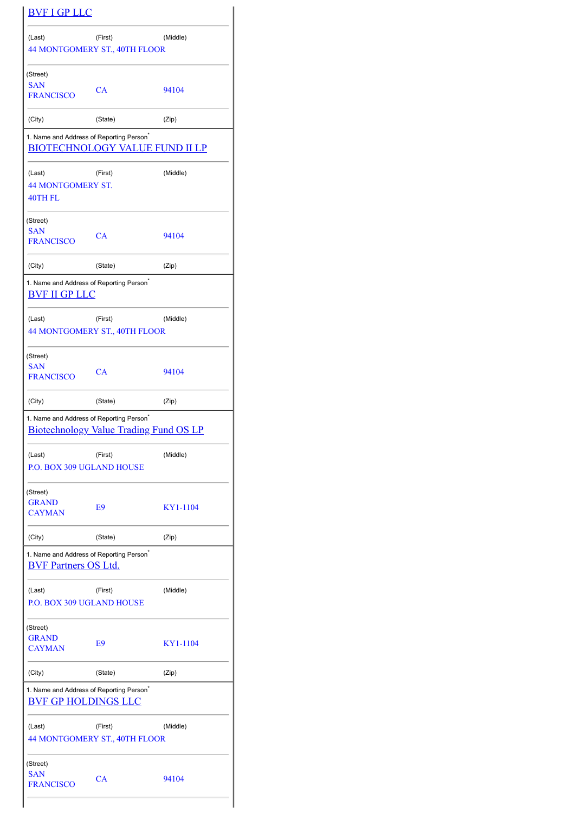|                                                                                                       | <b>BVF I GP LLC</b>                      |          |  |  |
|-------------------------------------------------------------------------------------------------------|------------------------------------------|----------|--|--|
| (Last)                                                                                                | (First)<br>44 MONTGOMERY ST., 40TH FLOOR | (Middle) |  |  |
| (Street)<br><b>SAN</b><br><b>FRANCISCO</b>                                                            | CA                                       | 94104    |  |  |
| (City)                                                                                                | (State)                                  | (Zip)    |  |  |
| 1. Name and Address of Reporting Person <sup>®</sup>                                                  | <b>BIOTECHNOLOGY VALUE FUND II LP</b>    |          |  |  |
| (Last)<br><b>44 MONTGOMERY ST.</b><br>40TH FL                                                         | (First)                                  | (Middle) |  |  |
| (Street)<br><b>SAN</b><br><b>FRANCISCO</b>                                                            | CA                                       | 94104    |  |  |
| (City)                                                                                                | (State)                                  | (Zip)    |  |  |
| 1. Name and Address of Reporting Person <sup>®</sup><br><b>BVF II GP LLC</b>                          |                                          |          |  |  |
| (Last)                                                                                                | (First)<br>44 MONTGOMERY ST., 40TH FLOOR | (Middle) |  |  |
| (Street)<br><b>SAN</b><br><b>FRANCISCO</b>                                                            | CA                                       | 94104    |  |  |
| (City)                                                                                                | (State)                                  | (Zip)    |  |  |
| 1. Name and Address of Reporting Person <sup>*</sup><br><b>Biotechnology Value Trading Fund OS LP</b> |                                          |          |  |  |
|                                                                                                       |                                          |          |  |  |
| (Last)<br><b>P.O. BOX 309 UGLAND HOUSE</b>                                                            | (First)                                  | (Middle) |  |  |
| (Street)<br><b>GRAND</b><br><b>CAYMAN</b>                                                             | E <sub>9</sub>                           | KY1-1104 |  |  |
| (City)                                                                                                | (State)                                  | (Zip)    |  |  |
| 1. Name and Address of Reporting Person <sup>®</sup><br><b>BVF Partners OS Ltd.</b>                   |                                          |          |  |  |
| (Last)<br><b>P.O. BOX 309 UGLAND HOUSE</b>                                                            | (First)                                  | (Middle) |  |  |
| (Street)<br><b>GRAND</b><br><b>CAYMAN</b>                                                             | E9                                       | KY1-1104 |  |  |
| (City)                                                                                                | (State)                                  | (Zip)    |  |  |
| 1. Name and Address of Reporting Person <sup>*</sup><br><b>BVF GP HOLDINGS LLC</b>                    |                                          |          |  |  |
| (Last)                                                                                                | (First)<br>44 MONTGOMERY ST., 40TH FLOOR | (Middle) |  |  |
| (Street)<br><b>SAN</b><br><b>FRANCISCO</b>                                                            | CA                                       | 94104    |  |  |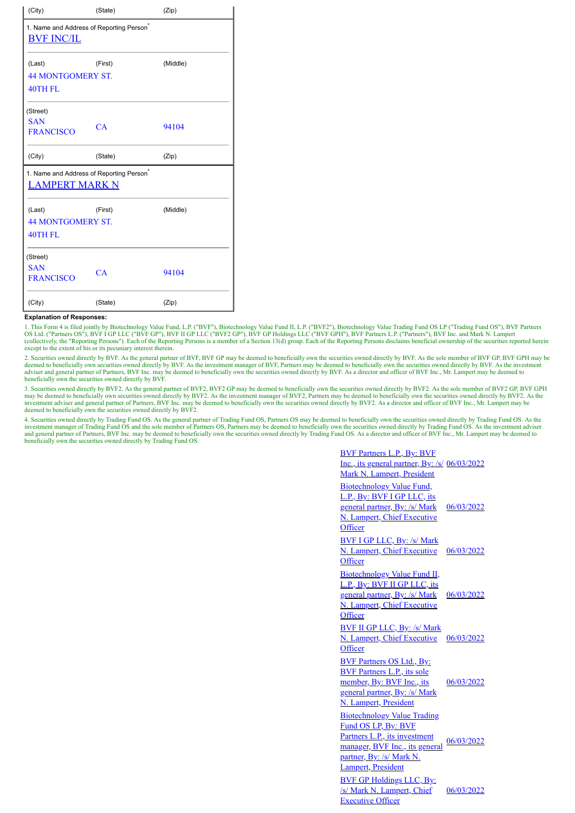| (City)                                                                    | (State) | (Zip)    |  |  |
|---------------------------------------------------------------------------|---------|----------|--|--|
| 1. Name and Address of Reporting Person <sup>®</sup><br><b>BVF INC/IL</b> |         |          |  |  |
| (Last)<br><b>44 MONTGOMERY ST.</b><br>40TH FL                             | (First) | (Middle) |  |  |
| (Street)<br><b>SAN</b><br><b>FRANCISCO</b>                                | CA      | 94104    |  |  |
| (City)                                                                    | (State) | (Zip)    |  |  |
| 1. Name and Address of Reporting Person <sup>*</sup><br>LAMPERT MARK N    |         |          |  |  |
| (Last)<br><b>44 MONTGOMERY ST.</b><br>40TH FL                             | (First) | (Middle) |  |  |
| (Street)<br><b>SAN</b><br><b>FRANCISCO</b>                                | CA      | 94104    |  |  |
| (City)                                                                    | (State) | (Zip)    |  |  |

## **Explanation of Responses:**

1. This Form 4 is filed jointly by Biotechnology Value Fund, L.P. ("BVF"), Biotechnology Value Fund Down Pund Down Brading Fund OS LP ("Trading Fund OS"), BVF Partners<br>OS Ltd. ("Partners OS"), BVF I GP LLC ("BVF GP"), BVF (collectively, the "Reporting Persons"). Each of the Reporting Persons is a member of a Section 13(d) group. Each of the Reporting Persons disclaims beneficial ownership of the securities reported herein except to the extent of his or its pecuniary interest therein.

2. Securities owned directly by BVF. As the general partner of BVF, BVF GP may be deemed to beneficially own the securities owned directly by BVF. As the sole member of BVF GP, BVF GPH may be deemed to beneficially own securities owned directly by BVF. As the investment manager of BVF, Partners may be deemed to beneficially own the securities owned directly by BVF. As the investment adviser and general partner beneficially own the securities owned directly by BVF.

3. Securities owned directly by BVF2. As the general partner of BVF2, BVF2 GP may be deemed to beneficially own the securities owned directly by BVF2. As the sole member of BVF2 GP, BVF GPH may be deemed to beneficially own securities owned directly by BVF2. As the investment manager of BVF2, Partners may be deemed to beneficially own the securities owned directly by BVF2. As the investment adviser and genera

4. Securities owned directly by Trading Fund OS. As the general partner of Trading Fund OS, Partners OS may be deemed to beneficially own the securities owned directly by Trading Fund OS. As the investment manager of Tradi beneficially own the securities owned directly by Trading Fund OS.

| <b>BVF Partners L.P., By: BVF</b><br>Inc., its general partner, By: /s/ 06/03/2022<br>Mark N. Lampert, President                                                               |            |
|--------------------------------------------------------------------------------------------------------------------------------------------------------------------------------|------------|
| Biotechnology Value Fund,<br>L.P., By: BVF I GP LLC, its<br>general partner, By: /s/ Mark<br>N. Lampert, Chief Executive<br>Officer                                            | 06/03/2022 |
| <u>BVF I GP LLC, By: /s/ Mark</u><br>N. Lampert, Chief Executive<br>Officer                                                                                                    | 06/03/2022 |
| Biotechnology Value Fund II,<br>L.P., By: BVF II GP LLC, its<br>general partner, By: /s/ Mark<br><b>N. Lampert, Chief Executive</b><br>Officer                                 | 06/03/2022 |
| <b>BVF II GP LLC, By: /s/ Mark</b><br>N. Lampert, Chief Executive<br>Officer                                                                                                   | 06/03/2022 |
| <b>BVF Partners OS Ltd., By:</b><br><b>BVF Partners L.P., its sole</b><br>member, By: BVF Inc., its<br>general partner, By: /s/ Mark<br><b>N. Lampert, President</b>           | 06/03/2022 |
| <b>Biotechnology Value Trading</b><br>Fund OS LP, By: BVF<br>Partners L.P., its investment<br>manager, BVF Inc., its general<br>partner, By: /s/ Mark N.<br>Lampert, President | 06/03/2022 |
| <b>BVF GP Holdings LLC, By:</b><br>/s/ Mark N. Lampert, Chief<br><b>Executive Officer</b>                                                                                      | 06/03/2022 |